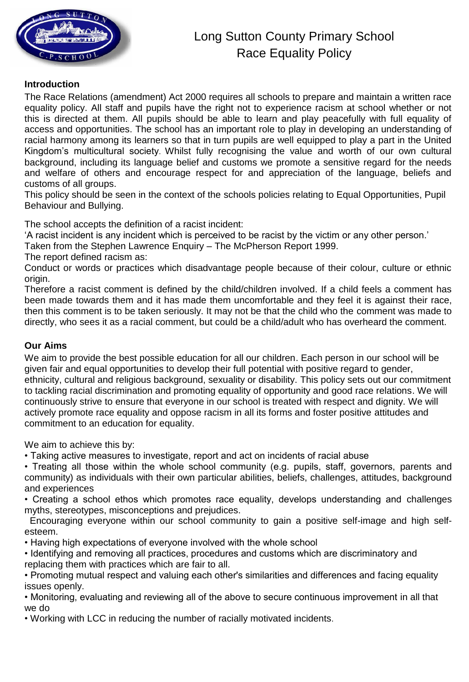

#### **Introduction**

The Race Relations (amendment) Act 2000 requires all schools to prepare and maintain a written race equality policy. All staff and pupils have the right not to experience racism at school whether or not this is directed at them. All pupils should be able to learn and play peacefully with full equality of access and opportunities. The school has an important role to play in developing an understanding of racial harmony among its learners so that in turn pupils are well equipped to play a part in the United Kingdom's multicultural society. Whilst fully recognising the value and worth of our own cultural background, including its language belief and customs we promote a sensitive regard for the needs and welfare of others and encourage respect for and appreciation of the language, beliefs and customs of all groups.

This policy should be seen in the context of the schools policies relating to Equal Opportunities, Pupil Behaviour and Bullying.

The school accepts the definition of a racist incident:

'A racist incident is any incident which is perceived to be racist by the victim or any other person.'

Taken from the Stephen Lawrence Enquiry – The McPherson Report 1999.

The report defined racism as:

Conduct or words or practices which disadvantage people because of their colour, culture or ethnic origin.

Therefore a racist comment is defined by the child/children involved. If a child feels a comment has been made towards them and it has made them uncomfortable and they feel it is against their race, then this comment is to be taken seriously. It may not be that the child who the comment was made to directly, who sees it as a racial comment, but could be a child/adult who has overheard the comment.

#### **Our Aims**

We aim to provide the best possible education for all our children. Each person in our school will be given fair and equal opportunities to develop their full potential with positive regard to gender, ethnicity, cultural and religious background, sexuality or disability. This policy sets out our commitment to tackling racial discrimination and promoting equality of opportunity and good race relations. We will continuously strive to ensure that everyone in our school is treated with respect and dignity. We will actively promote race equality and oppose racism in all its forms and foster positive attitudes and commitment to an education for equality.

We aim to achieve this by:

• Taking active measures to investigate, report and act on incidents of racial abuse

• Treating all those within the whole school community (e.g. pupils, staff, governors, parents and community) as individuals with their own particular abilities, beliefs, challenges, attitudes, background and experiences

• Creating a school ethos which promotes race equality, develops understanding and challenges myths, stereotypes, misconceptions and prejudices.

 Encouraging everyone within our school community to gain a positive self-image and high selfesteem.

• Having high expectations of everyone involved with the whole school

• Identifying and removing all practices, procedures and customs which are discriminatory and replacing them with practices which are fair to all.

• Promoting mutual respect and valuing each other's similarities and differences and facing equality issues openly.

• Monitoring, evaluating and reviewing all of the above to secure continuous improvement in all that we do

• Working with LCC in reducing the number of racially motivated incidents.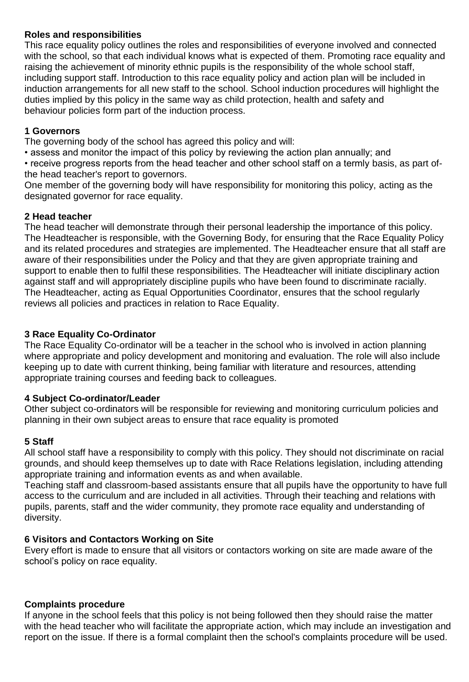#### **Roles and responsibilities**

This race equality policy outlines the roles and responsibilities of everyone involved and connected with the school, so that each individual knows what is expected of them. Promoting race equality and raising the achievement of minority ethnic pupils is the responsibility of the whole school staff, including support staff. Introduction to this race equality policy and action plan will be included in induction arrangements for all new staff to the school. School induction procedures will highlight the duties implied by this policy in the same way as child protection, health and safety and behaviour policies form part of the induction process.

#### **1 Governors**

The governing body of the school has agreed this policy and will:

• assess and monitor the impact of this policy by reviewing the action plan annually; and

• receive progress reports from the head teacher and other school staff on a termly basis, as part ofthe head teacher's report to governors.

One member of the governing body will have responsibility for monitoring this policy, acting as the designated governor for race equality.

#### **2 Head teacher**

The head teacher will demonstrate through their personal leadership the importance of this policy. The Headteacher is responsible, with the Governing Body, for ensuring that the Race Equality Policy and its related procedures and strategies are implemented. The Headteacher ensure that all staff are aware of their responsibilities under the Policy and that they are given appropriate training and support to enable then to fulfil these responsibilities. The Headteacher will initiate disciplinary action against staff and will appropriately discipline pupils who have been found to discriminate racially. The Headteacher, acting as Equal Opportunities Coordinator, ensures that the school regularly reviews all policies and practices in relation to Race Equality.

## **3 Race Equality Co-Ordinator**

The Race Equality Co-ordinator will be a teacher in the school who is involved in action planning where appropriate and policy development and monitoring and evaluation. The role will also include keeping up to date with current thinking, being familiar with literature and resources, attending appropriate training courses and feeding back to colleagues.

#### **4 Subject Co-ordinator/Leader**

Other subject co-ordinators will be responsible for reviewing and monitoring curriculum policies and planning in their own subject areas to ensure that race equality is promoted

## **5 Staff**

All school staff have a responsibility to comply with this policy. They should not discriminate on racial grounds, and should keep themselves up to date with Race Relations legislation, including attending appropriate training and information events as and when available.

Teaching staff and classroom-based assistants ensure that all pupils have the opportunity to have full access to the curriculum and are included in all activities. Through their teaching and relations with pupils, parents, staff and the wider community, they promote race equality and understanding of diversity.

#### **6 Visitors and Contactors Working on Site**

Every effort is made to ensure that all visitors or contactors working on site are made aware of the school's policy on race equality.

#### **Complaints procedure**

If anyone in the school feels that this policy is not being followed then they should raise the matter with the head teacher who will facilitate the appropriate action, which may include an investigation and report on the issue. If there is a formal complaint then the school's complaints procedure will be used.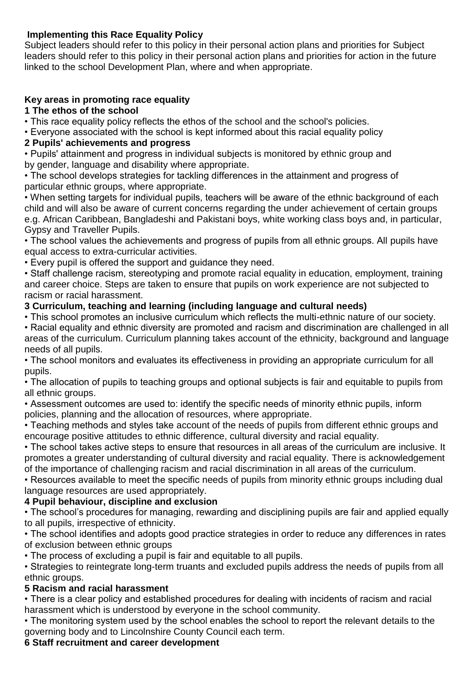## **Implementing this Race Equality Policy**

Subject leaders should refer to this policy in their personal action plans and priorities for Subject leaders should refer to this policy in their personal action plans and priorities for action in the future linked to the school Development Plan, where and when appropriate.

## **Key areas in promoting race equality**

#### **1 The ethos of the school**

• This race equality policy reflects the ethos of the school and the school's policies.

• Everyone associated with the school is kept informed about this racial equality policy

## **2 Pupils' achievements and progress**

• Pupils' attainment and progress in individual subjects is monitored by ethnic group and by gender, language and disability where appropriate.

• The school develops strategies for tackling differences in the attainment and progress of particular ethnic groups, where appropriate.

• When setting targets for individual pupils, teachers will be aware of the ethnic background of each child and will also be aware of current concerns regarding the under achievement of certain groups e.g. African Caribbean, Bangladeshi and Pakistani boys, white working class boys and, in particular, Gypsy and Traveller Pupils.

• The school values the achievements and progress of pupils from all ethnic groups. All pupils have equal access to extra-curricular activities.

• Every pupil is offered the support and guidance they need.

• Staff challenge racism, stereotyping and promote racial equality in education, employment, training and career choice. Steps are taken to ensure that pupils on work experience are not subjected to racism or racial harassment.

## **3 Curriculum, teaching and learning (including language and cultural needs)**

• This school promotes an inclusive curriculum which reflects the multi-ethnic nature of our society.

• Racial equality and ethnic diversity are promoted and racism and discrimination are challenged in all areas of the curriculum. Curriculum planning takes account of the ethnicity, background and language needs of all pupils.

• The school monitors and evaluates its effectiveness in providing an appropriate curriculum for all pupils.

• The allocation of pupils to teaching groups and optional subjects is fair and equitable to pupils from all ethnic groups.

• Assessment outcomes are used to: identify the specific needs of minority ethnic pupils, inform policies, planning and the allocation of resources, where appropriate.

• Teaching methods and styles take account of the needs of pupils from different ethnic groups and encourage positive attitudes to ethnic difference, cultural diversity and racial equality.

• The school takes active steps to ensure that resources in all areas of the curriculum are inclusive. It promotes a greater understanding of cultural diversity and racial equality. There is acknowledgement of the importance of challenging racism and racial discrimination in all areas of the curriculum.

• Resources available to meet the specific needs of pupils from minority ethnic groups including dual language resources are used appropriately.

## **4 Pupil behaviour, discipline and exclusion**

• The school's procedures for managing, rewarding and disciplining pupils are fair and applied equally to all pupils, irrespective of ethnicity.

• The school identifies and adopts good practice strategies in order to reduce any differences in rates of exclusion between ethnic groups

• The process of excluding a pupil is fair and equitable to all pupils.

• Strategies to reintegrate long-term truants and excluded pupils address the needs of pupils from all ethnic groups.

## **5 Racism and racial harassment**

• There is a clear policy and established procedures for dealing with incidents of racism and racial harassment which is understood by everyone in the school community.

• The monitoring system used by the school enables the school to report the relevant details to the governing body and to Lincolnshire County Council each term.

## **6 Staff recruitment and career development**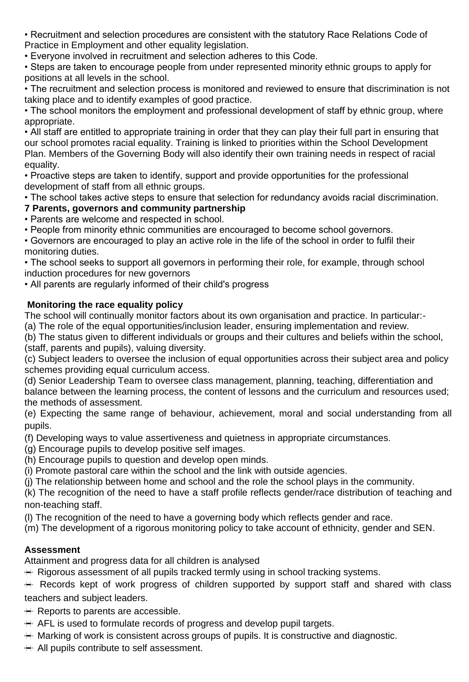• Recruitment and selection procedures are consistent with the statutory Race Relations Code of Practice in Employment and other equality legislation.

• Everyone involved in recruitment and selection adheres to this Code.

• Steps are taken to encourage people from under represented minority ethnic groups to apply for positions at all levels in the school.

• The recruitment and selection process is monitored and reviewed to ensure that discrimination is not taking place and to identify examples of good practice.

• The school monitors the employment and professional development of staff by ethnic group, where appropriate.

• All staff are entitled to appropriate training in order that they can play their full part in ensuring that our school promotes racial equality. Training is linked to priorities within the School Development Plan. Members of the Governing Body will also identify their own training needs in respect of racial equality.

• Proactive steps are taken to identify, support and provide opportunities for the professional development of staff from all ethnic groups.

• The school takes active steps to ensure that selection for redundancy avoids racial discrimination.

# **7 Parents, governors and community partnership**

• Parents are welcome and respected in school.

• People from minority ethnic communities are encouraged to become school governors.

• Governors are encouraged to play an active role in the life of the school in order to fulfil their monitoring duties.

• The school seeks to support all governors in performing their role, for example, through school induction procedures for new governors

• All parents are regularly informed of their child's progress

## **Monitoring the race equality policy**

The school will continually monitor factors about its own organisation and practice. In particular:-

(a) The role of the equal opportunities/inclusion leader, ensuring implementation and review.

(b) The status given to different individuals or groups and their cultures and beliefs within the school, (staff, parents and pupils), valuing diversity.

(c) Subject leaders to oversee the inclusion of equal opportunities across their subject area and policy schemes providing equal curriculum access.

(d) Senior Leadership Team to oversee class management, planning, teaching, differentiation and balance between the learning process, the content of lessons and the curriculum and resources used; the methods of assessment.

(e) Expecting the same range of behaviour, achievement, moral and social understanding from all pupils.

(f) Developing ways to value assertiveness and quietness in appropriate circumstances.

(g) Encourage pupils to develop positive self images.

(h) Encourage pupils to question and develop open minds.

(i) Promote pastoral care within the school and the link with outside agencies.

(j) The relationship between home and school and the role the school plays in the community.

(k) The recognition of the need to have a staff profile reflects gender/race distribution of teaching and non-teaching staff.

(l) The recognition of the need to have a governing body which reflects gender and race.

(m) The development of a rigorous monitoring policy to take account of ethnicity, gender and SEN.

## **Assessment**

Attainment and progress data for all children is analysed

 $\mathbb{H}$  Rigorous assessment of all pupils tracked termly using in school tracking systems.

Records kept of work progress of children supported by support staff and shared with class teachers and subject leaders.

 $\mathbb{H}$  Reports to parents are accessible.

 $\mathbb{H}$  AFL is used to formulate records of progress and develop pupil targets.

 $\mathbb{H}$  Marking of work is consistent across groups of pupils. It is constructive and diagnostic.

All pupils contribute to self assessment.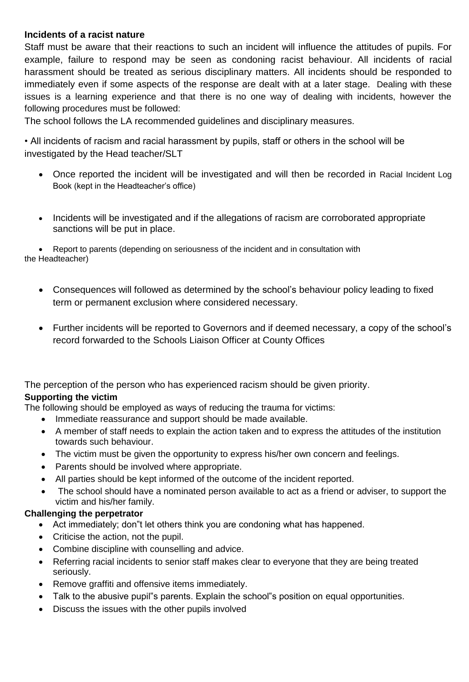#### **Incidents of a racist nature**

Staff must be aware that their reactions to such an incident will influence the attitudes of pupils. For example, failure to respond may be seen as condoning racist behaviour. All incidents of racial harassment should be treated as serious disciplinary matters. All incidents should be responded to immediately even if some aspects of the response are dealt with at a later stage. Dealing with these issues is a learning experience and that there is no one way of dealing with incidents, however the following procedures must be followed:

The school follows the LA recommended guidelines and disciplinary measures.

• All incidents of racism and racial harassment by pupils, staff or others in the school will be investigated by the Head teacher/SLT

- Once reported the incident will be investigated and will then be recorded in Racial Incident Log Book (kept in the Headteacher's office)
- Incidents will be investigated and if the allegations of racism are corroborated appropriate sanctions will be put in place.

• Report to parents (depending on seriousness of the incident and in consultation with the Headteacher)

- Consequences will followed as determined by the school's behaviour policy leading to fixed term or permanent exclusion where considered necessary.
- Further incidents will be reported to Governors and if deemed necessary, a copy of the school's record forwarded to the Schools Liaison Officer at County Offices

The perception of the person who has experienced racism should be given priority.

## **Supporting the victim**

The following should be employed as ways of reducing the trauma for victims:

- Immediate reassurance and support should be made available.
- A member of staff needs to explain the action taken and to express the attitudes of the institution towards such behaviour.
- The victim must be given the opportunity to express his/her own concern and feelings.
- Parents should be involved where appropriate.
- All parties should be kept informed of the outcome of the incident reported.
- The school should have a nominated person available to act as a friend or adviser, to support the victim and his/her family.

## **Challenging the perpetrator**

- Act immediately; don"t let others think you are condoning what has happened.
- Criticise the action, not the pupil.
- Combine discipline with counselling and advice.
- Referring racial incidents to senior staff makes clear to everyone that they are being treated seriously.
- Remove graffiti and offensive items immediately.
- Talk to the abusive pupil"s parents. Explain the school"s position on equal opportunities.
- Discuss the issues with the other pupils involved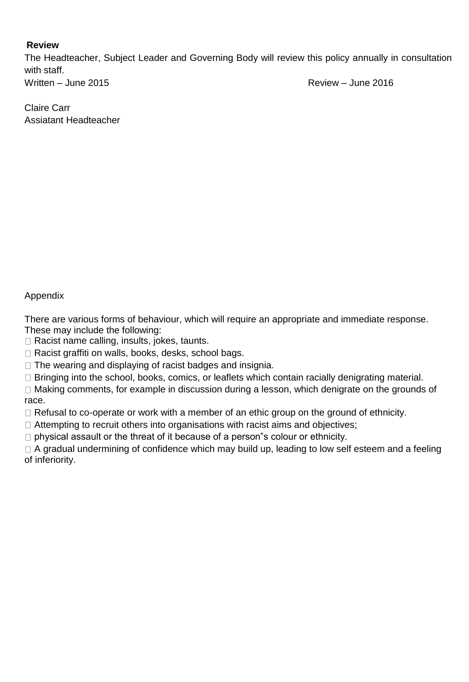#### **Review**

The Headteacher, Subject Leader and Governing Body will review this policy annually in consultation with staff. Written – June 2015

Claire Carr Assiatant Headteacher

## Appendix

There are various forms of behaviour, which will require an appropriate and immediate response. These may include the following:

 $\Box$  Racist name calling, insults, jokes, taunts.

□ Racist graffiti on walls, books, desks, school bags.

 $\Box$  The wearing and displaying of racist badges and insignia.

□ Bringing into the school, books, comics, or leaflets which contain racially denigrating material.

□ Making comments, for example in discussion during a lesson, which denigrate on the grounds of race.

 $\Box$  Refusal to co-operate or work with a member of an ethic group on the ground of ethnicity.

 $\Box$  Attempting to recruit others into organisations with racist aims and objectives;

 $\Box$  physical assault or the threat of it because of a person"s colour or ethnicity.

 $\Box$  A gradual undermining of confidence which may build up, leading to low self esteem and a feeling of inferiority.